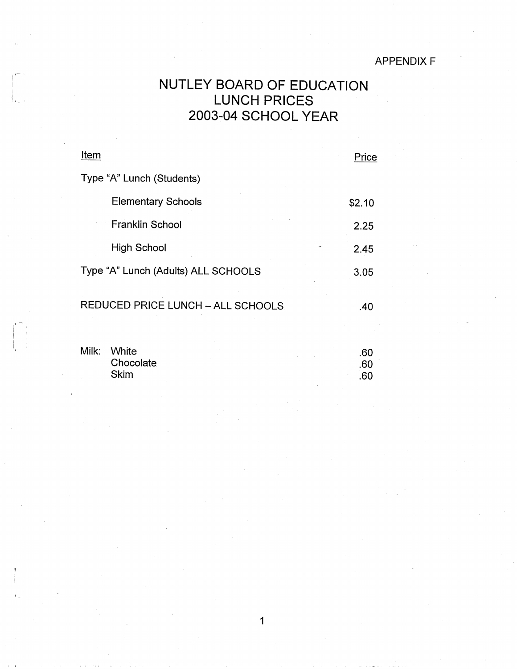### APPENDIX F

# NUTLEY BOARD OF EDUCATION LUNCH PRICES 2003-04 SCHOOL YEAR

| Item                                     | Price  |
|------------------------------------------|--------|
| Type "A" Lunch (Students)                |        |
| <b>Elementary Schools</b>                | \$2.10 |
| <b>Franklin School</b>                   | 2.25   |
| High School                              | 2.45   |
| Type "A" Lunch (Adults) ALL SCHOOLS      | 3.05   |
| <b>REDUCED PRICE LUNCH - ALL SCHOOLS</b> | .40    |

| Milk: | White     |  | .60 |
|-------|-----------|--|-----|
|       | Chocolate |  | .60 |
|       | Skim      |  | .60 |

1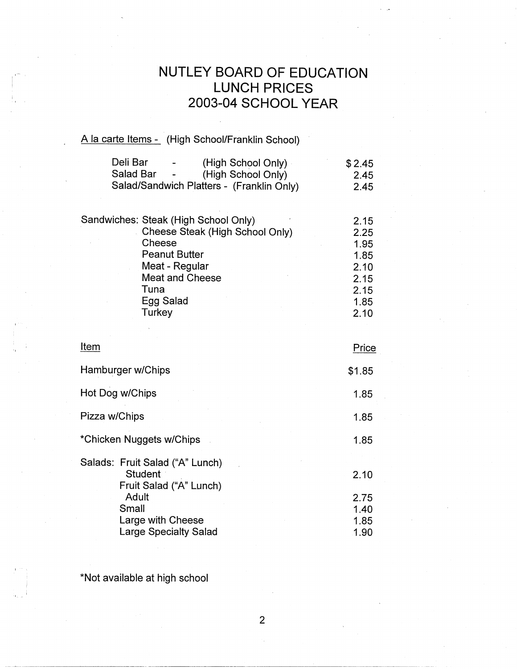# **NUTLEY BOARD OF EDUCATION LUNCH PRICES 2003-04 SCHOOL YEAR**

#### A la carte Items - (High School/Franklin School)

| Deli Bar<br>(High School Only)            | \$2.45 |
|-------------------------------------------|--------|
| Salad Bar<br>(High School Only)           | 2.45   |
| Salad/Sandwich Platters - (Franklin Only) | 2.45   |
| Sandwiches: Steak (High School Only)      | 2.15   |
|                                           |        |
| Cheese Steak (High School Only)           | 2.25   |
| Cheese                                    | 1.95   |
| <b>Peanut Butter</b>                      | 1.85   |
| Meat - Regular                            | 2.10   |
| <b>Meat and Cheese</b>                    | 2.15   |
| Tuna                                      | 2.15   |
| Egg Salad                                 | 1.85   |
| Turkey                                    | 2.10   |

2.10

| Item                                                                                                                | Price                        |
|---------------------------------------------------------------------------------------------------------------------|------------------------------|
| Hamburger w/Chips                                                                                                   | \$1.85                       |
| Hot Dog w/Chips                                                                                                     | 1.85                         |
| Pizza w/Chips                                                                                                       | 1.85                         |
| *Chicken Nuggets w/Chips                                                                                            | 1.85                         |
| Salads: Fruit Salad ("A" Lunch)<br><b>Student</b><br>Fruit Salad ("A" Lunch)<br>Adult<br>Small<br>Large with Cheese | 2.10<br>2.75<br>1.40<br>1.85 |
| <b>Large Specialty Salad</b>                                                                                        | 1.90                         |

\*Not available at high school

I -- I

2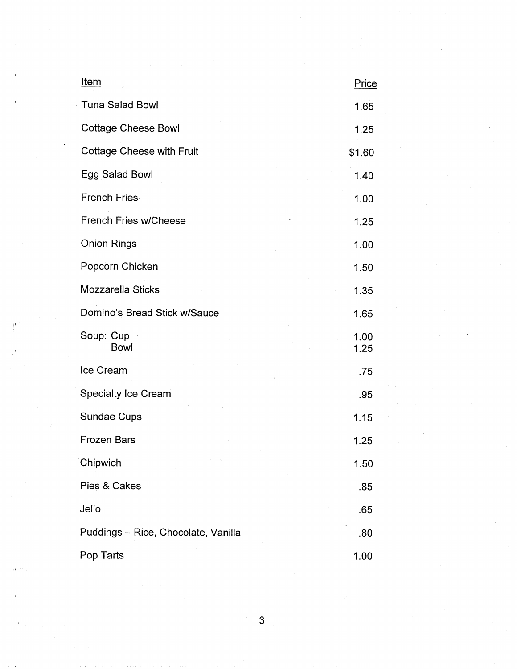| <u>Item</u>                         | Price        |
|-------------------------------------|--------------|
| <b>Tuna Salad Bowl</b>              | 1.65         |
| <b>Cottage Cheese Bowl</b>          | 1.25         |
| <b>Cottage Cheese with Fruit</b>    | \$1.60       |
| Egg Salad Bowl                      | 1.40         |
| <b>French Fries</b>                 | 1.00         |
| <b>French Fries w/Cheese</b>        | 1.25         |
| <b>Onion Rings</b>                  | 1.00         |
| Popcorn Chicken                     | 1.50         |
| Mozzarella Sticks                   | 1.35         |
| Domino's Bread Stick w/Sauce        | 1.65         |
| Soup: Cup<br><b>Bowl</b>            | 1.00<br>1.25 |
| Ice Cream                           | .75          |
| <b>Specialty Ice Cream</b>          | .95          |
| Sundae Cups                         | 1.15         |
| <b>Frozen Bars</b>                  | 1.25         |
| Chipwich                            | 1.50         |
| Pies & Cakes                        | .85          |
| Jello                               | .65          |
| Puddings - Rice, Chocolate, Vanilla | .80          |
| Pop Tarts                           | 1.00         |

3

 $\mathcal{L}_{\mathcal{A}}$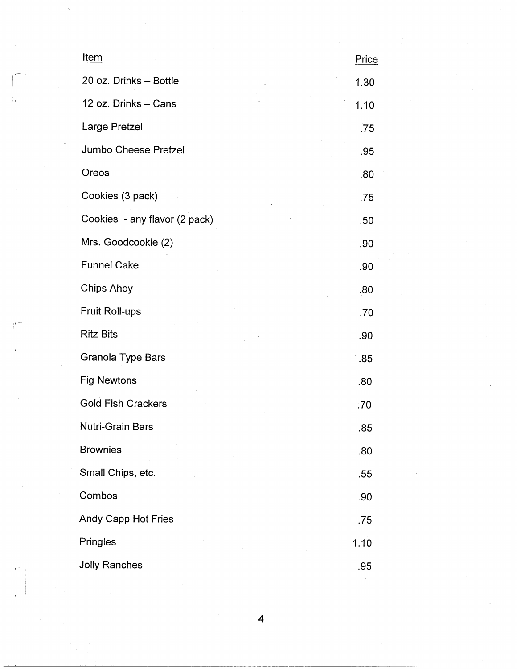| Item                          | Price |
|-------------------------------|-------|
| 20 oz. Drinks - Bottle        | 1.30  |
| 12 oz. Drinks - Cans          | 1.10  |
| Large Pretzel                 | .75   |
| Jumbo Cheese Pretzel          | .95   |
| Oreos                         | .80   |
| Cookies (3 pack)              | .75   |
| Cookies - any flavor (2 pack) | .50   |
| Mrs. Goodcookie (2)           | .90   |
| <b>Funnel Cake</b>            | .90   |
| <b>Chips Ahoy</b>             | .80   |
| Fruit Roll-ups                | .70   |
| <b>Ritz Bits</b>              | .90   |
| <b>Granola Type Bars</b>      | .85   |
| Fig Newtons                   | .80   |
| <b>Gold Fish Crackers</b>     | .70   |
| Nutri-Grain Bars              | .85   |
| <b>Brownies</b>               | .80   |
| Small Chips, etc.             | .55   |
| Combos                        | .90   |
| Andy Capp Hot Fries           | .75   |
| Pringles                      | 1.10  |
| <b>Jolly Ranches</b>          | .95   |

 $\begin{bmatrix} 1 \\ 1 \\ 1 \end{bmatrix}$ 

 $\overline{\mathcal{A}}$